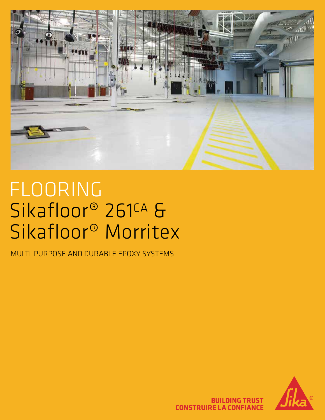

# FLOORING Sikafloor® 261<sup>CA</sup> & Sikafloor® Morritex

MULTI-PURPOSE AND DURABLE EPOXY SYSTEMS



**BUILDING TRUST CONSTRUIRE LA CONFIANCE**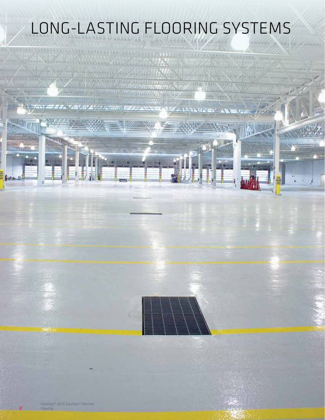# LONG-LASTING FLOORING SYSTEMS

**SANDARY AND A** 

ARTICLE AND MARKETING AND COMPA

**AN AN HAM LEAR** 

12:12 MM CO

فبوتيات

22 ZEMP MAR WALL

Sikafloor® 261 & Sikafloor® Morritex Flooring

2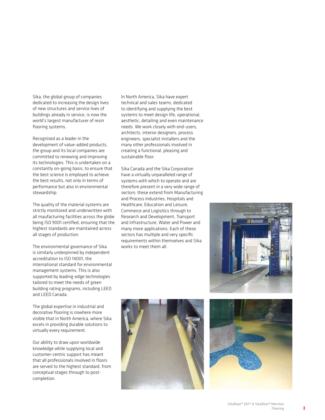Sika, the global group of companies dedicated to increasing the design lives of new structures and service lives of buildings already in service, is now the world's largest manufacturer of resin flooring systems.

Recognised as a leader in the development of value-added products, the group and its local companies are committed to renewing and improving its technologies. This is undertaken on a constantly on-going basis, to ensure that the best science is employed to achieve the best results, not only in terms of performance but also in environmental stewardship.

The quality of the material systems are strictly monitored and underwritten with all maufacturing facilities across the globe being ISO 9001 certified, ensuring that the highest standards are maintained across all stages of production.

The environmental governance of Sika is similarly underpinned by independent accreditation to ISO 14001, the international standard for environmental management systems. This is also supported by leading-edge technologies tailored to meet the needs of green building rating programs, including LEED and LEED Canada.

The global expertise in industrial and decorative flooring is nowhere more visible that in North America, where Sika excels in providing durable solutions to virtually every requirement.

Our ability to draw upon worldwide knowledge while supplying local and customer-centric support has meant that all professionals involved in floors are served to the highest standard, from conceptual stages through to postcompletion.

In North America, Sika have expert technical and sales teams, dedicated to identifying and supplying the best systems to meet design life, operational, aesthetic, detailing and even maintenance needs. We work closely with end-users, architects, interior designers, process engineers, specialist installers and the many other professionals involved in creating a functional, pleasing and sustainable floor.

Sika Canada and the Sika Corporation have a virtually unparalleled range of systems with which to operate and are therefore present in a very wide range of sectors: these extend from Manufacturing and Process Industries, Hospitals and Healthcare, Education and Leisure, Commerce and Logisitics through to Research and Development, Transport and Infrastructure, Water and Power and many more applications. Each of these sectors has multiple and very specific requirements within themselves and Sika works to meet them all.





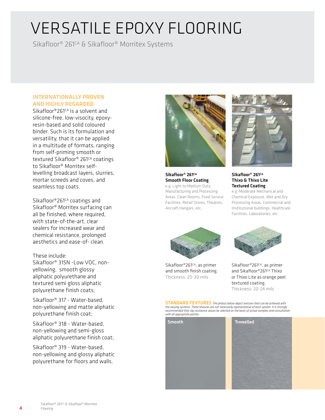### VERSATILE EPOXY FLOORING

Sikafloor® 261CA & Sikafloor® Morritex Systems

#### INTERNATIONALLY PROVEN AND HIGHLY REGARDED

Sikafloor®261<sup>CA</sup> is a solvent and silicone-free, low-visocity, epoxyresin-based and solid coloured binder. Such is its formulation and versatility, that it can be applied in a multitude of formats, ranging from self-priming smooth or textured Sikafloor® 261<sup>CA</sup> coatings to Sikafloor® Morritex selflevelling broadcast layers, slurries, mortar screeds and coves, and seamless top coats.

Sikafloor®261<sup>cA</sup> coatings and Sikafloor® Morritex surfacing can all be finished, where required. with state-of-the-art, clear sealers for increased wear and chemical resistance, prolonged aesthetics and ease-of- clean.

These include:

Sikafloor® 315N -Low VOC, nonyellowing, smooth glossy aliphatic polyurethane and textured semi gloss aliphatic polyurethane finish coats;

Sikafloor® 317 - Water-based, non-yellowing and matte aliphatic polyurethane finish coat;

Sikafloor® 318 - Water-based, non-yellowing and semi-gloss aliphatic polyurethane finish coat;

Sikafloor® 319 - Water-based, non-yellowing and glossy aliphatic polyurethane for floors and walls.



Sikafloor<sup>®</sup> 261<sup>CA</sup> Smooth Floor Coating e.g. Light to Medium Duty Manufacturing and Processing Areas, Clean Rooms, Food Service Facilities, Retail Stores, Theatres, Aircraft Hangars, etc.



#### Sikafloor<sup>®</sup> 261<sup>CA</sup> Thixo & Thixo Lite Textured Coating

e.g. Moderate Mechanical and Chemical Exposure, Wet and Dry Processing Areas, Commercial and Institutional buildings, Healthcare Facilities, Laboratories, etc.



Sikafloor®261<sup>cA</sup>, as primer and smooth finish coating. Thickness: 20-30 mils



Sikafloor®261CA, as primer and Sikafloor®261CA Thixo or Thixo Lite as orange peel textured coating. Thickness: 20-24 mils

STANDARD TEXTURES *The photos below depict textures that can be achieved with the varying systems. These textures are not necessarily representative of each system. It is strongly recommended that slip resistance values be selected on the basis of actual samples and consultation with all appropriate parties.* 



4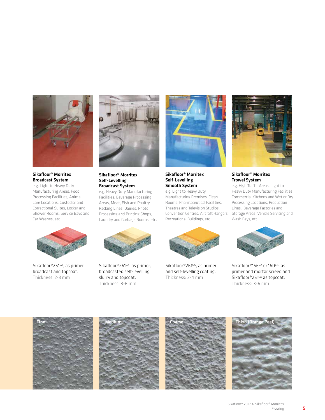

Sikafloor® Morritex Broadcast System e.g. Light to Heavy Duty Manufacturing Areas, Food

Processing Facilities, Animal Care Locations, Custodial and Correctional Suites, Locker and Shower Rooms, Service Bays and Car Washes, etc.



Sikafloor®261CA, as primer, broadcast and topcoat. Thickness: 2-3 mm



Sikafloor® Morritex Self-Levelling Broadcast System

e.g. Heavy Duty Manufacturing Facilities, Beverage Processing Areas, Meat, Fish and Poultry Packing Lines, Dairies, Photo Processing and Printing Shops, Laundry and Garbage Rooms, etc.

Sikafloor®261CA, as primer, broadcasted self-levelling slurry and topcoat. Thickness: 3-6 mm



Sikafloor® Morritex Self-Levelling Smooth System

e.g. Light to Heavy Duty Manufacturing Premises, Clean Rooms, Pharmaceutical Facilities, Theatres and Television Studios, Recreational Buildings, etc.



Sikafloor®261CA, as primer and self-levelling coating. Thickness: 2-4 mm



#### Sikafloor® Morritex Trowel System

Convention Centres, Aircraft Hangars, Storage Areas, Vehicle Servicing and e.g. High Traffic Areas, Light to Heavy Duty Manufacturing Facilities, Commercial Kitchens and Wet or Dry Processing Locations, Production Lines, Beverage Factories and Wash Bays, etc.



Sikafloor®156<sup>cA</sup> or 160<sup>cA</sup>, as primer and mortar screed and Sikafloor®261<sup>cA</sup> as topcoat. Thickness: 3-6 mm







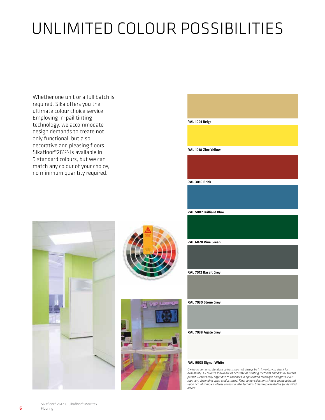## UNLIMITED COLOUR POSSIBILITIES

Whether one unit or a full batch is required, Sika offers you the ultimate colour choice service. Employing in-pail tinting technology, we accommodate design demands to create not only functional, but also decorative and pleasing floors. Sikafloor®261<sup>CA</sup> is available in 9 standard colours, but we can match any colour of your choice, no minimum quantity required.



RAL 1018 Zinc Yellow

RAL 3010 Brick





RAL 7012 Basalt Grey

RAL 6028 Pine Green

RAL 5007 Brilliant Blue

RAL 7030 Stone Grey

RAL 7038 Agate Grey

#### RAL 9003 Signal White

*Owing to demand, standard colours may not always be in inventory so check for availability. All colours shown are as accurate as printing methods and display screens permit. Results may differ due to variances in application technique and gloss levels may vary depending upon product used. Final colour selections should be made based upon actual samples. Please consult a Sika Technical Sales Representative for detailed advice.*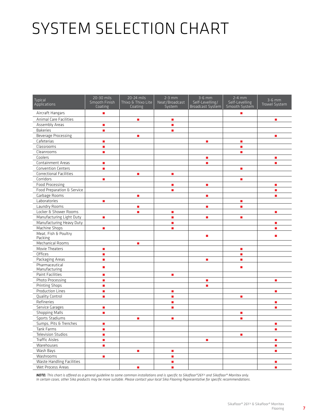# SYSTEM SELECTION CHART

| <b>Typical</b><br>Applications  | 20-30 mils<br>Smooth Finish<br>Coating | 20-24 mils<br>Thixo & Thixo Lite<br>Coating | $2-3$ mm<br>Neat/Broadcast<br>System | $3-6$ mm<br>Self-Levelling/<br>Broadcast System | $2-4$ mm<br>Self-Levelling<br>Smooth System | $3-6$ mm<br>Trowel System |
|---------------------------------|----------------------------------------|---------------------------------------------|--------------------------------------|-------------------------------------------------|---------------------------------------------|---------------------------|
| Aircraft Hangars                | Ē,                                     |                                             |                                      |                                                 | п                                           |                           |
| Animal Care Facilities          |                                        | п                                           | п                                    |                                                 |                                             | ٠                         |
| Assembly Areas                  | $\blacksquare$                         |                                             | ٠                                    |                                                 |                                             |                           |
| <b>Bakeries</b>                 | Ē.                                     |                                             | п                                    |                                                 |                                             |                           |
| Beverage Processing             |                                        | $\overline{\phantom{a}}$                    |                                      |                                                 |                                             | a,                        |
| Cafeterias                      | Ē,                                     |                                             |                                      | $\overline{\phantom{a}}$                        | a,                                          |                           |
| Classrooms                      | Ē.                                     |                                             |                                      |                                                 | п                                           |                           |
| Cleanrooms                      | $\overline{\phantom{a}}$               |                                             |                                      |                                                 | $\blacksquare$                              |                           |
| Coolers                         |                                        |                                             |                                      | п                                               |                                             | Ē,                        |
| Containment Areas               | $\overline{\phantom{a}}$               |                                             |                                      | ٠                                               |                                             | п                         |
| <b>Convention Centers</b>       | $\overline{\phantom{a}}$               |                                             |                                      |                                                 | Ē.                                          |                           |
| Correctional Facilities         |                                        | $\overline{\phantom{a}}$                    | $\overline{\phantom{a}}$             |                                                 |                                             |                           |
| Corridors                       | n,                                     |                                             |                                      |                                                 | п                                           |                           |
| Food Processing                 |                                        |                                             | $\blacksquare$                       | $\blacksquare$                                  |                                             | $\blacksquare$            |
| Food Preparation & Service      |                                        |                                             | ٠                                    |                                                 |                                             | ٠                         |
| Garbage Rooms                   |                                        | $\blacksquare$                              |                                      | $\blacksquare$                                  |                                             | ٠                         |
| Laboratories                    | Ē.                                     |                                             |                                      |                                                 | п                                           |                           |
| Laundry Rooms                   |                                        | $\blacksquare$                              |                                      | $\blacksquare$                                  | $\overline{\phantom{a}}$                    |                           |
| Locker & Shower Rooms           |                                        | п                                           | a,                                   |                                                 |                                             | a,                        |
| Manufacturing Light Duty        | Ū,                                     |                                             | a,                                   | $\blacksquare$                                  | a,                                          |                           |
| Manufacturing Heavy Duty        |                                        |                                             | Ē,                                   |                                                 |                                             | Ē,                        |
| Machine Shops                   | a.                                     |                                             | a.                                   |                                                 |                                             | $\blacksquare$            |
| Meat, Fish & Poultry<br>Packing |                                        |                                             |                                      | п                                               |                                             | п                         |
| Mechanical Rooms                |                                        | $\overline{\phantom{a}}$                    |                                      |                                                 |                                             |                           |
| Movie Theaters                  | Ū,                                     |                                             |                                      |                                                 | a,                                          |                           |
| Offices                         | a,                                     |                                             |                                      |                                                 | п                                           |                           |
| Packaging Areas                 | a,                                     |                                             |                                      | ٠                                               | п                                           |                           |
| Pharmaceutical<br>Manufacturing | Ē.                                     |                                             |                                      |                                                 | ٠                                           |                           |
| Paint Facilities                | ×                                      |                                             | ×                                    |                                                 |                                             |                           |
| Photo Processing                | Ū,                                     |                                             |                                      | $\blacksquare$                                  |                                             | $\blacksquare$            |
| <b>Printing Shops</b>           | a,                                     |                                             |                                      | ٠                                               |                                             |                           |
| <b>Production Lines</b>         | $\overline{\phantom{a}}$               |                                             | a,                                   |                                                 |                                             | $\blacksquare$            |
| <b>Quality Control</b>          | $\blacksquare$                         |                                             | $\overline{\phantom{a}}$             |                                                 | п                                           |                           |
| Refineries                      |                                        |                                             | $\blacksquare$                       |                                                 |                                             | a,                        |
| Service Garages                 | $\blacksquare$                         |                                             | Ē.                                   |                                                 |                                             | $\blacksquare$            |
| <b>Shopping Malls</b>           | a,                                     |                                             |                                      |                                                 | $\blacksquare$                              |                           |
| Sports Stadiums                 |                                        | п                                           | ٠                                    |                                                 | ٠                                           |                           |
| Sumps, Pits & Trenches          | п                                      |                                             |                                      |                                                 |                                             | п                         |
| Tank Farms                      | ٠                                      |                                             |                                      |                                                 |                                             | $\blacksquare$            |
| <b>Television Studios</b>       | п                                      |                                             |                                      |                                                 | п                                           |                           |
| <b>Traffic Aisles</b>           | $\overline{\phantom{a}}$               |                                             |                                      | $\blacksquare$                                  |                                             | a.                        |
| Warehouses                      | $\overline{\phantom{a}}$               |                                             |                                      |                                                 |                                             | $\blacksquare$            |
| Wash Bays                       |                                        | $\mathcal{L}_{\mathcal{A}}$                 | $\mathcal{L}_{\mathcal{A}}$          |                                                 |                                             | a,                        |
| Washrooms                       | a,                                     |                                             | $\mathcal{L}_{\mathcal{A}}$          |                                                 |                                             |                           |
| Waste Handling Facilities       |                                        |                                             | $\overline{\phantom{a}}$             |                                                 |                                             | $\blacksquare$            |
| Wet Process Areas               |                                        | п                                           | п                                    |                                                 |                                             | a.                        |

**NOTE:** This chart is offered as a general guideline to some common installations and is specific to Sikafloor®261¤ and Sikafloor® Morritex only.<br>In certain cases, other Sika products may be more suitable. Please contact y